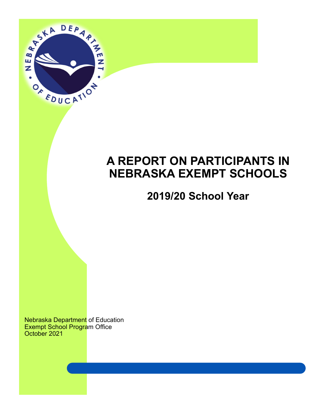

# **A REPORT ON PARTICIPANTS IN NEBRASKA EXEMPT SCHOOLS**

# **2019/20 School Year**

Nebraska Department of Education Exempt School Program Office October 2021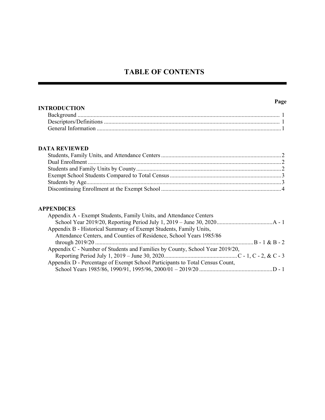# **TABLE OF CONTENTS**

# **INTRODUCTION**

| -KUDUC LIUN |  |
|-------------|--|
|             |  |
|             |  |
|             |  |

### **DATA REVIEWED**

### **APPENDICES**

| Appendix A - Exempt Students, Family Units, and Attendance Centers           |  |
|------------------------------------------------------------------------------|--|
|                                                                              |  |
| Appendix B - Historical Summary of Exempt Students, Family Units,            |  |
| Attendance Centers, and Counties of Residence, School Years 1985/86          |  |
|                                                                              |  |
| Appendix C - Number of Students and Families by County, School Year 2019/20, |  |
|                                                                              |  |
| Appendix D - Percentage of Exempt School Participants to Total Census Count, |  |
|                                                                              |  |

### **Page**

Ξ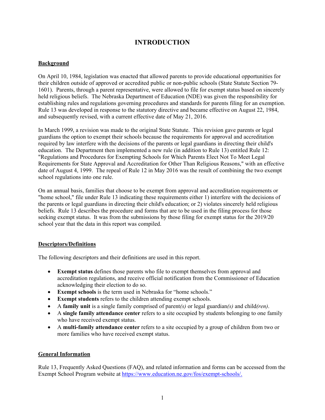# **INTRODUCTION**

### **Background**

On April 10, 1984, legislation was enacted that allowed parents to provide educational opportunities for their children outside of approved or accredited public or non-public schools (State Statute Section 79- 1601). Parents, through a parent representative, were allowed to file for exempt status based on sincerely held religious beliefs. The Nebraska Department of Education (NDE) was given the responsibility for establishing rules and regulations governing procedures and standards for parents filing for an exemption. Rule 13 was developed in response to the statutory directive and became effective on August 22, 1984, and subsequently revised, with a current effective date of May 21, 2016.

In March 1999, a revision was made to the original State Statute. This revision gave parents or legal guardians the option to exempt their schools because the requirements for approval and accreditation required by law interfere with the decisions of the parents or legal guardians in directing their child's education. The Department then implemented a new rule (in addition to Rule 13) entitled Rule 12: "Regulations and Procedures for Exempting Schools for Which Parents Elect Not To Meet Legal Requirements for State Approval and Accreditation for Other Than Religious Reasons," with an effective date of August 4, 1999. The repeal of Rule 12 in May 2016 was the result of combining the two exempt school regulations into one rule.

On an annual basis, families that choose to be exempt from approval and accreditation requirements or "home school," file under Rule 13 indicating these requirements either 1) interfere with the decisions of the parents or legal guardians in directing their child's education; or 2) violates sincerely held religious beliefs. Rule 13 describes the procedure and forms that are to be used in the filing process for those seeking exempt status. It was from the submissions by those filing for exempt status for the 2019/20 school year that the data in this report was compiled.

### **Descriptors/Definitions**

The following descriptors and their definitions are used in this report.

- **Exempt status** defines those parents who file to exempt themselves from approval and accreditation regulations, and receive official notification from the Commissioner of Education acknowledging their election to do so.
- **Exempt schools** is the term used in Nebraska for "home schools."
- **Exempt students** refers to the children attending exempt schools.
- A **family unit** is a single family comprised of parent*(s)* or legal guardian*(s)* and child*(ren)*.
- A **single family attendance center** refers to a site occupied by students belonging to one family who have received exempt status.
- A **multi-family attendance center** refers to a site occupied by a group of children from two or more families who have received exempt status.

### **General Information**

Rule 13, Frequently Asked Questions (FAQ), and related information and forms can be accessed from the Exempt School Program website at https://www.education.ne.gov/fos/exempt-schools/.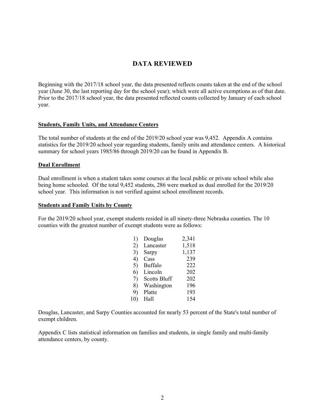# **DATA REVIEWED**

Beginning with the 2017/18 school year, the data presented reflects counts taken at the end of the school year (June 30, the last reporting day for the school year); which were all active exemptions as of that date. Prior to the 2017/18 school year, the data presented reflected counts collected by January of each school year.

### **Students, Family Units, and Attendance Centers**

The total number of students at the end of the 2019/20 school year was 9,452. Appendix A contains statistics for the 2019/20 school year regarding students, family units and attendance centers. A historical summary for school years 1985/86 through 2019/20 can be found in Appendix B.

### **Dual Enrollment**

Dual enrollment is when a student takes some courses at the local public or private school while also being home schooled.Of the total 9,452 students, 286 were marked as dual enrolled for the 2019/20 school year. This information is not verified against school enrollment records.

#### **Students and Family Units by County**

For the 2019/20 school year, exempt students resided in all ninety-three Nebraska counties. The 10 counties with the greatest number of exempt students were as follows:

| 1)  | Douglas             | 2,341 |
|-----|---------------------|-------|
| 2)  | Lancaster           | 1,518 |
| 3)  | Sarpy               | 1,137 |
| 4)  | Cass                | 239   |
| 5)  | Buffalo             | 222   |
| 6)  | Lincoln             | 202   |
| 7)  | <b>Scotts Bluff</b> | 202   |
| 8)  | Washington          | 196   |
| 9)  | Platte              | 193   |
| 10) | Hall                | 154   |

Douglas, Lancaster, and Sarpy Counties accounted for nearly 53 percent of the State's total number of exempt children.

Appendix C lists statistical information on families and students, in single family and multi-family attendance centers, by county.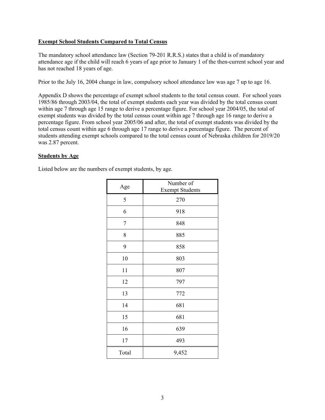### **Exempt School Students Compared to Total Census**

The mandatory school attendance law (Section 79-201 R.R.S.) states that a child is of mandatory attendance age if the child will reach 6 years of age prior to January 1 of the then-current school year and has not reached 18 years of age.

Prior to the July 16, 2004 change in law, compulsory school attendance law was age 7 up to age 16.

Appendix D shows the percentage of exempt school students to the total census count. For school years 1985/86 through 2003/04, the total of exempt students each year was divided by the total census count within age 7 through age 15 range to derive a percentage figure. For school year 2004/05, the total of exempt students was divided by the total census count within age 7 through age 16 range to derive a percentage figure. From school year 2005/06 and after, the total of exempt students was divided by the total census count within age 6 through age 17 range to derive a percentage figure. The percent of students attending exempt schools compared to the total census count of Nebraska children for 2019/20 was 2.87 percent.

### **Students by Age**

Listed below are the numbers of exempt students, by age.

| Age        | Number of<br><b>Exempt Students</b> |
|------------|-------------------------------------|
| 5          | 270                                 |
| 6          | 918                                 |
| $\sqrt{ }$ | 848                                 |
| 8          | 885                                 |
| 9          | 858                                 |
| 10         | 803                                 |
| 11         | 807                                 |
| 12         | 797                                 |
| 13         | 772                                 |
| 14         | 681                                 |
| 15         | 681                                 |
| 16         | 639                                 |
| 17         | 493                                 |
| Total      | 9,452                               |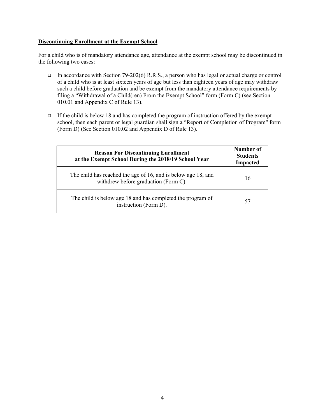### **Discontinuing Enrollment at the Exempt School**

For a child who is of mandatory attendance age, attendance at the exempt school may be discontinued in the following two cases:

- In accordance with Section 79-202(6) R.R.S., a person who has legal or actual charge or control of a child who is at least sixteen years of age but less than eighteen years of age may withdraw such a child before graduation and be exempt from the mandatory attendance requirements by filing a "Withdrawal of a Child(ren) From the Exempt School" form (Form C) (see Section 010.01 and Appendix C of Rule 13).
- $\Box$  If the child is below 18 and has completed the program of instruction offered by the exempt school, then each parent or legal guardian shall sign a "Report of Completion of Program" form (Form D) (See Section 010.02 and Appendix D of Rule 13).

| <b>Reason For Discontinuing Enrollment</b><br>at the Exempt School During the 2018/19 School Year     | Number of<br><b>Students</b><br>Impacted |
|-------------------------------------------------------------------------------------------------------|------------------------------------------|
| The child has reached the age of 16, and is below age 18, and<br>withdrew before graduation (Form C). | 16                                       |
| The child is below age 18 and has completed the program of<br>instruction (Form D).                   | 57                                       |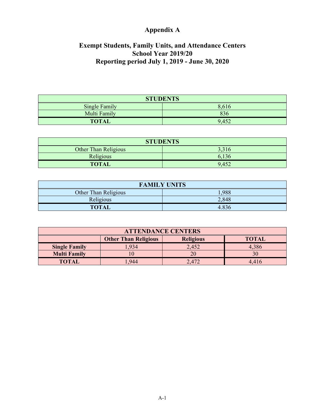# **Appendix A**

# **Exempt Students, Family Units, and Attendance Centers School Year 2019/20 Reporting period July 1, 2019 - June 30, 2020**

| <b>STUDENTS</b> |       |  |  |  |
|-----------------|-------|--|--|--|
| Single Family   | 8,616 |  |  |  |
| Multi Family    | 836   |  |  |  |
| <b>TOTAL</b>    | 9,452 |  |  |  |

| <b>STUDENTS</b>             |       |  |  |  |  |
|-----------------------------|-------|--|--|--|--|
| <b>Other Than Religious</b> | 3,316 |  |  |  |  |
| Religious                   | 6,136 |  |  |  |  |
| <b>TOTAL</b>                | 9,452 |  |  |  |  |

| <b>FAMILY UNITS</b>  |       |  |  |  |  |
|----------------------|-------|--|--|--|--|
| Other Than Religious | 1,988 |  |  |  |  |
| Religious            | 2,848 |  |  |  |  |
| <b>TOTAL</b>         | 4.836 |  |  |  |  |

| <b>ATTENDANCE CENTERS</b>                                       |      |       |       |  |  |  |  |  |
|-----------------------------------------------------------------|------|-------|-------|--|--|--|--|--|
| <b>Other Than Religious</b><br><b>Religious</b><br><b>TOTAL</b> |      |       |       |  |  |  |  |  |
| <b>Single Family</b>                                            | .934 | 2,452 | 4,386 |  |  |  |  |  |
| <b>Multi Family</b>                                             | 10   | 20    | 30    |  |  |  |  |  |
| <b>TOTAL</b>                                                    | .944 | 2,472 | 4.416 |  |  |  |  |  |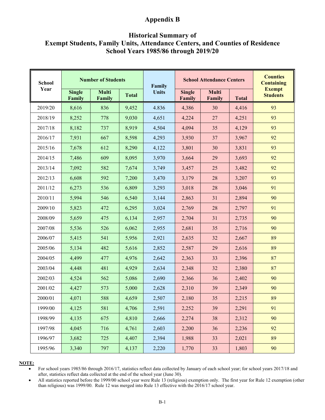# **Appendix B**

## **Historical Summary of Exempt Students, Family Units, Attendance Centers, and Counties of Residence School Years 1985/86 through 2019/20**

| <b>School</b><br>Year | <b>Number of Students</b> |                        |              | Family       | <b>School Attendance Centers</b> |                        | <b>Counties</b><br><b>Containing</b> |                                  |
|-----------------------|---------------------------|------------------------|--------------|--------------|----------------------------------|------------------------|--------------------------------------|----------------------------------|
|                       | <b>Single</b><br>Family   | <b>Multi</b><br>Family | <b>Total</b> | <b>Units</b> | <b>Single</b><br>Family          | <b>Multi</b><br>Family | <b>Total</b>                         | <b>Exempt</b><br><b>Students</b> |
| 2019/20               | 8,616                     | 836                    | 9,452        | 4.836        | 4,386                            | 30                     | 4,416                                | 93                               |
| 2018/19               | 8,252                     | 778                    | 9,030        | 4,651        | 4,224                            | 27                     | 4,251                                | 93                               |
| 2017/18               | 8,182                     | 737                    | 8,919        | 4,504        | 4,094                            | 35                     | 4,129                                | 93                               |
| 2016/17               | 7,931                     | 667                    | 8,598        | 4,293        | 3,930                            | 37                     | 3,967                                | 92                               |
| 2015/16               | 7,678                     | 612                    | 8,290        | 4,122        | 3,801                            | 30                     | 3,831                                | 93                               |
| 2014/15               | 7,486                     | 609                    | 8,095        | 3,970        | 3,664                            | 29                     | 3,693                                | 92                               |
| 2013/14               | 7,092                     | 582                    | 7,674        | 3,749        | 3,457                            | 25                     | 3,482                                | 92                               |
| 2012/13               | 6,608                     | 592                    | 7,200        | 3,470        | 3,179                            | 28                     | 3,207                                | 93                               |
| 2011/12               | 6,273                     | 536                    | 6,809        | 3,293        | 3,018                            | 28                     | 3,046                                | 91                               |
| 2010/11               | 5,994                     | 546                    | 6,540        | 3,144        | 2,863                            | 31                     | 2,894                                | 90                               |
| 2009/10               | 5,823                     | 472                    | 6,295        | 3,024        | 2,769                            | 28                     | 2,797                                | 91                               |
| 2008/09               | 5,659                     | 475                    | 6,134        | 2,957        | 2,704                            | 31                     | 2,735                                | 90                               |
| 2007/08               | 5,536                     | 526                    | 6,062        | 2,955        | 2,681                            | 35                     | 2,716                                | 90                               |
| 2006/07               | 5,415                     | 541                    | 5,956        | 2,921        | 2,635                            | 32                     | 2,667                                | 89                               |
| 2005/06               | 5,134                     | 482                    | 5,616        | 2,852        | 2,587                            | 29                     | 2,616                                | 89                               |
| 2004/05               | 4,499                     | 477                    | 4,976        | 2,642        | 2,363                            | 33                     | 2,396                                | 87                               |
| 2003/04               | 4,448                     | 481                    | 4,929        | 2,634        | 2,348                            | 32                     | 2,380                                | 87                               |
| 2002/03               | 4,524                     | 562                    | 5,086        | 2,690        | 2,366                            | 36                     | 2,402                                | 90                               |
| 2001/02               | 4,427                     | 573                    | 5,000        | 2,628        | 2,310                            | 39                     | 2,349                                | 90                               |
| 2000/01               | 4,071                     | 588                    | 4,659        | 2,507        | 2,180                            | 35                     | 2,215                                | 89                               |
| 1999/00               | 4,125                     | 581                    | 4,706        | 2,591        | 2,252                            | 39                     | 2,291                                | 91                               |
| 1998/99               | 4,135                     | 675                    | 4,810        | 2,666        | 2,274                            | 38                     | 2,312                                | 90                               |
| 1997/98               | 4,045                     | 716                    | 4,761        | 2,603        | 2,200                            | 36                     | 2,236                                | 92                               |
| 1996/97               | 3,682                     | 725                    | 4,407        | 2,394        | 1,988                            | 33                     | 2,021                                | 89                               |
| 1995/96               | 3,340                     | 797                    | 4,137        | 2,220        | 1,770                            | 33                     | 1,803                                | 90                               |

#### **NOTE:**

 For school years 1985/86 through 2016/17, statistics reflect data collected by January of each school year; for school years 2017/18 and after, statistics reflect data collected at the end of the school year (June 30).

 All statistics reported before the 1999/00 school year were Rule 13 (religious) exemption only. The first year for Rule 12 exemption (other than religious) was 1999/00. Rule 12 was merged into Rule 13 effective with the 2016/17 school year.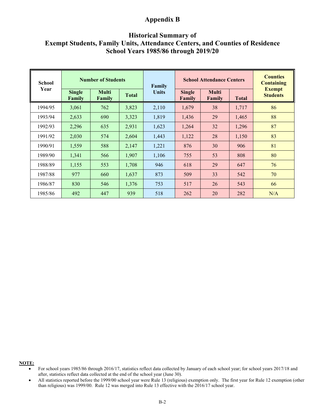# **Appendix B**

## **Historical Summary of Exempt Students, Family Units, Attendance Centers, and Counties of Residence School Years 1985/86 through 2019/20**

| <b>School</b><br>Year | <b>Number of Students</b> |                        |              | Family       | <b>School Attendance Centers</b> |                        | <b>Counties</b><br><b>Containing</b> |                                  |
|-----------------------|---------------------------|------------------------|--------------|--------------|----------------------------------|------------------------|--------------------------------------|----------------------------------|
|                       | <b>Single</b><br>Family   | <b>Multi</b><br>Family | <b>Total</b> | <b>Units</b> | <b>Single</b><br>Family          | <b>Multi</b><br>Family | <b>Total</b>                         | <b>Exempt</b><br><b>Students</b> |
| 1994/95               | 3,061                     | 762                    | 3,823        | 2,110        | 1,679                            | 38                     | 1,717                                | 86                               |
| 1993/94               | 2,633                     | 690                    | 3,323        | 1,819        | 1,436                            | 29                     | 1,465                                | 88                               |
| 1992/93               | 2,296                     | 635                    | 2,931        | 1,623        | 1,264                            | 32                     | 1,296                                | 87                               |
| 1991/92               | 2,030                     | 574                    | 2,604        | 1,443        | 1,122                            | 28                     | 1,150                                | 83                               |
| 1990/91               | 1,559                     | 588                    | 2,147        | 1,221        | 876                              | 30                     | 906                                  | 81                               |
| 1989/90               | 1,341                     | 566                    | 1,907        | 1,106        | 755                              | 53                     | 808                                  | 80                               |
| 1988/89               | 1,155                     | 553                    | 1,708        | 946          | 618                              | 29                     | 647                                  | 76                               |
| 1987/88               | 977                       | 660                    | 1,637        | 873          | 509                              | 33                     | 542                                  | 70                               |
| 1986/87               | 830                       | 546                    | 1,376        | 753          | 517                              | 26                     | 543                                  | 66                               |
| 1985/86               | 492                       | 447                    | 939          | 518          | 262                              | 20                     | 282                                  | N/A                              |

**NOTE:**

For school years 1985/86 through 2016/17, statistics reflect data collected by January of each school year; for school years 2017/18 and after, statistics reflect data collected at the end of the school year (June 30).

All statistics reported before the 1999/00 school year were Rule 13 (religious) exemption only. The first year for Rule 12 exemption (other than religious) was 1999/00. Rule 12 was merged into Rule 13 effective with the 2016/17 school year.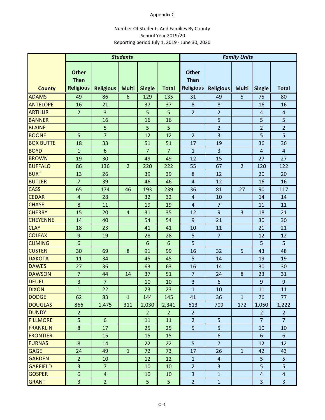### Appendix C

### Number Of Students And Families By County School Year 2019/20 Reporting period July 1, 2019 ‐ June 30, 2020

|                                  | <b>Students</b>                                 |                         |                |                | <b>Family Units</b>  |                                                 |                      |                |                |                     |
|----------------------------------|-------------------------------------------------|-------------------------|----------------|----------------|----------------------|-------------------------------------------------|----------------------|----------------|----------------|---------------------|
| <b>County</b>                    | <b>Other</b><br><b>Than</b><br><b>Religious</b> | <b>Religious</b>        | <b>Multi</b>   | <b>Single</b>  | <b>Total</b>         | <b>Other</b><br><b>Than</b><br><b>Religious</b> | <b>Religious</b>     | <b>Multi</b>   | <b>Single</b>  | <b>Total</b>        |
|                                  | 49                                              | 86                      | $6\phantom{1}$ | 129            | 135                  |                                                 | 49                   | 5              | 75             | 80                  |
| <b>ADAMS</b>                     |                                                 |                         |                |                |                      | 31                                              |                      |                |                |                     |
| <b>ANTELOPE</b>                  | 16                                              | 21                      |                | 37             | 37                   | 8                                               | $\bf 8$              |                | 16             | 16                  |
| <b>ARTHUR</b>                    | $\overline{2}$                                  | $\overline{\mathbf{3}}$ |                | 5              | 5                    | $\overline{2}$                                  | $\overline{2}$       |                | $\overline{4}$ | $\overline{4}$      |
| <b>BANNER</b>                    |                                                 | 16                      |                | 16             | 16                   |                                                 | 5                    |                | 5              | 5                   |
| <b>BLAINE</b>                    |                                                 | 5<br>$\overline{7}$     |                | 5              | 5                    |                                                 | $\overline{2}$       |                | $\overline{2}$ | $\overline{2}$<br>5 |
| <b>BOONE</b>                     | 5                                               |                         |                | 12             | 12                   | $\overline{2}$                                  | 3                    |                | 5              |                     |
| <b>BOX BUTTE</b>                 | 18                                              | 33<br>$6\phantom{1}6$   |                | 51             | 51<br>$\overline{7}$ | 17                                              | 19                   |                | 36             | 36                  |
| <b>BOYD</b>                      | $\mathbf 1$                                     |                         |                | $\overline{7}$ |                      | $\mathbf{1}$                                    | 3                    |                | $\overline{4}$ | $\overline{4}$      |
| <b>BROWN</b>                     | 19                                              | 30                      |                | 49             | 49                   | 12                                              | 15                   |                | 27             | 27                  |
| <b>BUFFALO</b>                   | 86                                              | 136                     | $\overline{2}$ | 220            | 222                  | 55                                              | 67                   | $\overline{2}$ | 120            | 122                 |
| <b>BURT</b><br><b>BUTLER</b>     | 13                                              | 26                      |                | 39             | 39                   | 8                                               | 12                   |                | 20             | 20                  |
|                                  | $\overline{7}$                                  | 39                      |                | 46             | 46                   | 4                                               | 12                   |                | 16             | 16                  |
| <b>CASS</b>                      | 65                                              | 174                     | 46             | 193            | 239                  | 36                                              | 81                   | 27             | 90             | 117                 |
| <b>CEDAR</b>                     | $\overline{a}$                                  | 28                      |                | 32             | 32                   | 4<br>$\overline{4}$                             | 10<br>$\overline{7}$ |                | 14             | 14                  |
| <b>CHASE</b>                     | 8                                               | 11                      |                | 19             | 19                   |                                                 |                      |                | 11             | 11                  |
| <b>CHERRY</b><br><b>CHEYENNE</b> | 15                                              | 20                      | $\overline{4}$ | 31             | 35                   | 12                                              | 9                    | 3              | 18             | 21                  |
| <b>CLAY</b>                      | 14                                              | 40<br>23                |                | 54             | 54<br>41             | 9                                               | 21<br>11             |                | 30<br>21       | 30<br>21            |
| <b>COLFAX</b>                    | 18<br>$\boldsymbol{9}$                          | 19                      |                | 41<br>28       | 28                   | 10<br>5                                         | $\overline{7}$       |                | 12             | 12                  |
| <b>CUMING</b>                    | $6\phantom{1}6$                                 |                         |                | 6              | 6                    | 5                                               |                      |                | 5              | 5                   |
| <b>CUSTER</b>                    | 30                                              | 69                      | 8              | 91             | 99                   | 16                                              | 32                   | 5              | 43             | 48                  |
| <b>DAKOTA</b>                    | 11                                              | 34                      |                | 45             | 45                   | 5                                               | 14                   |                | 19             | 19                  |
| <b>DAWES</b>                     | 27                                              | 36                      |                | 63             | 63                   | 16                                              | 14                   |                | 30             | 30                  |
| <b>DAWSON</b>                    | $\overline{7}$                                  | 44                      | 14             | 37             | 51                   | $\overline{7}$                                  | 24                   | 8              | 23             | 31                  |
| <b>DEUEL</b>                     | $\overline{\mathbf{3}}$                         | $\overline{7}$          |                | 10             | 10                   | 3                                               | 6                    |                | 9              | $\overline{9}$      |
| <b>DIXON</b>                     | $\mathbf{1}$                                    | 22                      |                | 23             | 23                   | $\mathbf{1}$                                    | 10                   |                | 11             | 11                  |
| <b>DODGE</b>                     | 62                                              | 83                      | $\mathbf{1}$   | 144            | 145                  | 41                                              | 36                   | $\mathbf{1}$   | 76             | 77                  |
| <b>DOUGLAS</b>                   | 866                                             | 1,475                   | 311            | 2,030          | 2,341                | 513                                             | 709                  | 172            | 1,050          | 1,222               |
| <b>DUNDY</b>                     | $\overline{2}$                                  |                         |                | $\overline{2}$ | 2 <sup>1</sup>       | $\overline{2}$                                  |                      |                | $\overline{2}$ | $\overline{2}$      |
| <b>FILLMORE</b>                  | 5                                               | 6                       |                | 11             | 11                   | $\overline{2}$                                  | 5                    |                | $\overline{7}$ | $\overline{7}$      |
| <b>FRANKLIN</b>                  | 8                                               | 17                      |                | 25             | 25                   | 5                                               | 5                    |                | 10             | 10                  |
| <b>FRONTIER</b>                  |                                                 | 15                      |                | 15             | 15                   |                                                 | $6\phantom{a}$       |                | 6              | $6\overline{6}$     |
| <b>FURNAS</b>                    | 8                                               | 14                      |                | 22             | 22                   | 5 <sup>1</sup>                                  | $\overline{7}$       |                | 12             | 12                  |
| <b>GAGE</b>                      | 24                                              | 49                      | $\mathbf{1}$   | 72             | 73                   | 17                                              | 26                   | $\mathbf{1}$   | 42             | 43                  |
| <b>GARDEN</b>                    | $\overline{2}$                                  | 10                      |                | 12             | 12                   | $\mathbf{1}$                                    | $\overline{4}$       |                | 5 <sup>5</sup> | 5                   |
| <b>GARFIELD</b>                  | 3                                               | $\overline{7}$          |                | 10             | 10                   | $\overline{2}$                                  | $\overline{3}$       |                | 5              | 5                   |
| <b>GOSPER</b>                    | $6\,$                                           | $\overline{4}$          |                | 10             | 10                   | $\overline{3}$                                  | $\mathbf{1}$         |                | $\overline{4}$ | $\overline{4}$      |
| <b>GRANT</b>                     | 3                                               | $\overline{2}$          |                | 5              | 5                    | $\overline{2}$                                  | $\mathbf{1}$         |                | $\overline{3}$ | $\overline{3}$      |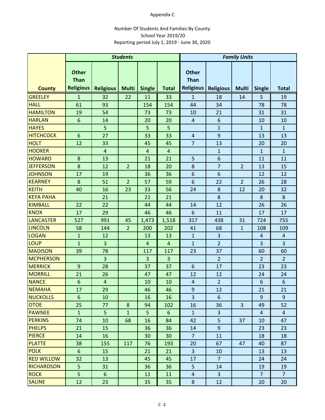### Appendix C

### Number Of Students And Families By County School Year 2019/20 Reporting period July 1, 2019 ‐ June 30, 2020

|                   | <b>Students</b>             |                  |                |                |                         | <b>Family Units</b>         |                  |                |                         |                 |
|-------------------|-----------------------------|------------------|----------------|----------------|-------------------------|-----------------------------|------------------|----------------|-------------------------|-----------------|
|                   | <b>Other</b><br><b>Than</b> |                  |                |                |                         | <b>Other</b><br><b>Than</b> |                  |                |                         |                 |
| <b>County</b>     | <b>Religious</b>            | <b>Religious</b> | <b>Multi</b>   | <b>Single</b>  | <b>Total</b>            | <b>Religious</b>            | <b>Religious</b> | <b>Multi</b>   | <b>Single</b>           | <b>Total</b>    |
| <b>GREELEY</b>    | $\mathbf{1}$                | 32               | 22             | 11             | 33                      | $\mathbf{1}$                | 18               | 14             | 5                       | 19              |
| <b>HALL</b>       | 61                          | 93               |                | 154            | 154                     | 44                          | 34               |                | 78                      | 78              |
| <b>HAMILTON</b>   | 19                          | 54               |                | 73             | 73                      | 10                          | 21               |                | 31                      | 31              |
| <b>HARLAN</b>     | $6\phantom{1}6$             | 14               |                | 20             | 20                      | $\overline{4}$              | 6                |                | 10                      | 10              |
| <b>HAYES</b>      |                             | 5                |                | 5              | 5                       |                             | $\mathbf{1}$     |                | $\mathbf{1}$            | $\mathbf{1}$    |
| <b>HITCHCOCK</b>  | 6                           | 27               |                | 33             | 33                      | 4                           | $\overline{9}$   |                | 13                      | 13              |
| <b>HOLT</b>       | 12                          | 33               |                | 45             | 45                      | $\overline{7}$              | 13               |                | 20                      | 20              |
| <b>HOOKER</b>     |                             | $\overline{4}$   |                | $\overline{4}$ | $\overline{\mathbf{4}}$ |                             | $\mathbf{1}$     |                | $\mathbf{1}$            | $\mathbf{1}$    |
| <b>HOWARD</b>     | 8                           | 13               |                | 21             | 21                      | 5                           | 6                |                | 11                      | 11              |
| <b>JEFFERSON</b>  | 8                           | 12               | $\overline{2}$ | 18             | 20                      | 8                           | $\overline{7}$   | $\overline{2}$ | 13                      | 15              |
| <b>JOHNSON</b>    | 17                          | 19               |                | 36             | 36                      | 6                           | 6                |                | 12                      | 12              |
| <b>KEARNEY</b>    | 8                           | 51               | $\overline{2}$ | 57             | 59                      | 6                           | 22               | $\overline{2}$ | 26                      | 28              |
| <b>KEITH</b>      | 40                          | 16               | 23             | 33             | 56                      | 24                          | 8                | 12             | 20                      | 32              |
| <b>KEYA PAHA</b>  |                             | 21               |                | 21             | 21                      |                             | 8                |                | 8                       | 8               |
| <b>KIMBALL</b>    | 22                          | 22               |                | 44             | 44                      | 14                          | 12               |                | 26                      | 26              |
| <b>KNOX</b>       | 17                          | 29               |                | 46             | 46                      | 6                           | 11               |                | 17                      | 17              |
| <b>LANCASTER</b>  | 527                         | 991              | 45             | 1,473          | 1,518                   | 317                         | 438              | 31             | 724                     | 755             |
| <b>LINCOLN</b>    | 58                          | 144              | $\overline{2}$ | 200            | 202                     | 41                          | 68               | 1              | 108                     | 109             |
| <b>LOGAN</b>      | $\mathbf 1$                 | 12               |                | 13             | 13                      | $\mathbf{1}$                | 3                |                | $\overline{4}$          | $\overline{a}$  |
| <b>LOUP</b>       | $\mathbf{1}$                | $\overline{3}$   |                | $\overline{4}$ | $\overline{\mathbf{4}}$ | $\mathbf{1}$                | $\overline{2}$   |                | $\overline{\mathbf{3}}$ | $\overline{3}$  |
| <b>MADISON</b>    | 39                          | 78               |                | 117            | 117                     | 23                          | 37               |                | 60                      | 60              |
| <b>MCPHERSON</b>  |                             | $\overline{3}$   |                | 3              | 3                       |                             | $\overline{2}$   |                | $\overline{2}$          | $\overline{2}$  |
| <b>MERRICK</b>    | 9                           | 28               |                | 37             | 37                      | 6                           | 17               |                | 23                      | 23              |
| <b>MORRILL</b>    | 21                          | 26               |                | 47             | 47                      | 12                          | 12               |                | 24                      | 24              |
| <b>NANCE</b>      | $6\phantom{1}6$             | $\overline{4}$   |                | 10             | 10                      | 4                           | $\overline{2}$   |                | 6                       | $6\phantom{1}6$ |
| <b>NEMAHA</b>     | 17                          | 29               |                | 46             | 46                      | $\boldsymbol{9}$            | 12               |                | 21                      | 21              |
| <b>NUCKOLLS</b>   | 6                           | 10               |                | 16             | 16                      | $\overline{3}$              | 6                |                | 9                       | 9               |
| <b>OTOE</b>       | 25                          | 77               | 8              | 94             | 102                     | 16                          | 36               | $\overline{3}$ | 49                      | 52              |
| <b>PAWNEE</b>     | $\mathbf{1}$                | 5 <sub>5</sub>   | $\mathbf{1}$   | 5              | $6\phantom{1}$          | $\mathbf{1}$                | $\overline{3}$   |                | $\overline{4}$          | $\overline{4}$  |
| <b>PERKINS</b>    | 74                          | 10               | 68             | 16             | 84                      | 42                          | 5                | 37             | 10                      | 47              |
| <b>PHELPS</b>     | 21                          | 15               |                | 36             | 36                      | 14                          | $\overline{9}$   |                | 23                      | 23              |
| <b>PIERCE</b>     | 14                          | 16               |                | 30             | 30                      | $\overline{7}$              | 11               |                | 18                      | 18              |
| <b>PLATTE</b>     | 38                          | 155              | 117            | 76             | 193                     | 20                          | 67               | 47             | 40                      | 87              |
| <b>POLK</b>       | $6\,$                       | 15               |                | 21             | 21                      | $\overline{3}$              | 10               |                | 13                      | 13              |
| <b>RED WILLOW</b> | 32                          | 13               |                | 45             | 45                      | 17                          | $\overline{7}$   |                | 24                      | 24              |
| <b>RICHARDSON</b> | 5                           | 31               |                | 36             | 36                      | 5                           | 14               |                | 19                      | 19              |
| <b>ROCK</b>       | 5                           | $6\,$            |                | 11             | 11                      | 4                           | $\overline{3}$   |                | $\overline{7}$          | 7 <sup>1</sup>  |
| <b>SALINE</b>     | 12                          | 23               |                | 35             | 35                      | 8                           | 12               |                | 20                      | 20              |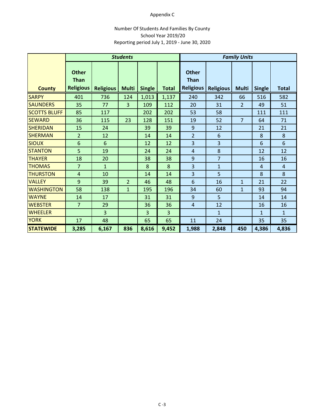### Appendix C

### Number Of Students And Families By County School Year 2019/20 Reporting period July 1, 2019 ‐ June 30, 2020

|                     | <b>Students</b>                                 |                  |                |               |              | <b>Family Units</b>                             |                  |                |                |                |
|---------------------|-------------------------------------------------|------------------|----------------|---------------|--------------|-------------------------------------------------|------------------|----------------|----------------|----------------|
| <b>County</b>       | <b>Other</b><br><b>Than</b><br><b>Religious</b> | <b>Religious</b> | <b>Multi</b>   | <b>Single</b> | <b>Total</b> | <b>Other</b><br><b>Than</b><br><b>Religious</b> | <b>Religious</b> | <b>Multi</b>   | <b>Single</b>  | <b>Total</b>   |
| <b>SARPY</b>        | 401                                             | 736              | 124            | 1,013         | 1,137        | 240                                             | 342              | 66             | 516            | 582            |
| <b>SAUNDERS</b>     | 35                                              | 77               | 3              | 109           | 112          | 20                                              | 31               | $\overline{2}$ | 49             | 51             |
| <b>SCOTTS BLUFF</b> | 85                                              | 117              |                | 202           | 202          | 53                                              | 58               |                | 111            | 111            |
| <b>SEWARD</b>       | 36                                              | 115              | 23             | 128           | 151          | 19                                              | 52               | $\overline{7}$ | 64             | 71             |
| <b>SHERIDAN</b>     | 15                                              | 24               |                | 39            | 39           | 9                                               | 12               |                | 21             | 21             |
| <b>SHERMAN</b>      | $\overline{2}$                                  | 12               |                | 14            | 14           | $\overline{2}$                                  | 6                |                | 8              | $\bf 8$        |
| <b>SIOUX</b>        | $6\phantom{1}$                                  | 6                |                | 12            | 12           | 3                                               | 3                |                | 6              | 6              |
| <b>STANTON</b>      | 5                                               | 19               |                | 24            | 24           | 4                                               | 8                |                | 12             | 12             |
| <b>THAYER</b>       | 18                                              | 20               |                | 38            | 38           | 9                                               | $\overline{7}$   |                | 16             | 16             |
| <b>THOMAS</b>       | $\overline{7}$                                  | $\mathbf{1}$     |                | 8             | 8            | 3                                               | $\mathbf{1}$     |                | $\overline{4}$ | $\overline{4}$ |
| <b>THURSTON</b>     | 4                                               | 10               |                | 14            | 14           | 3                                               | 5                |                | 8              | 8              |
| <b>VALLEY</b>       | 9                                               | 39               | $\overline{2}$ | 46            | 48           | 6                                               | 16               | $\mathbf{1}$   | 21             | 22             |
| <b>WASHINGTON</b>   | 58                                              | 138              | $\mathbf{1}$   | 195           | 196          | 34                                              | 60               | $\mathbf{1}$   | 93             | 94             |
| <b>WAYNE</b>        | 14                                              | 17               |                | 31            | 31           | 9                                               | 5                |                | 14             | 14             |
| <b>WEBSTER</b>      | $\overline{7}$                                  | 29               |                | 36            | 36           | $\overline{4}$                                  | 12               |                | 16             | 16             |
| <b>WHEELER</b>      |                                                 | 3                |                | 3             | 3            |                                                 | $\mathbf{1}$     |                | $\mathbf{1}$   | $\mathbf{1}$   |
| <b>YORK</b>         | 17                                              | 48               |                | 65            | 65           | 11                                              | 24               |                | 35             | 35             |
| <b>STATEWIDE</b>    | 3,285                                           | 6,167            | 836            | 8,616         | 9,452        | 1,988                                           | 2,848            | 450            | 4,386          | 4,836          |